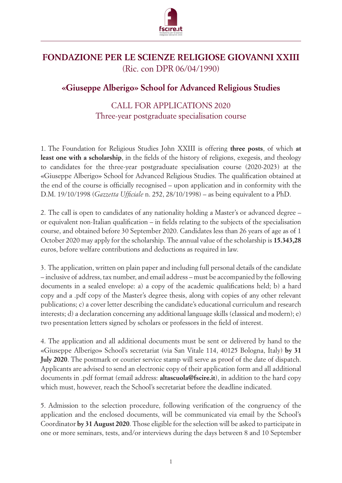

## **FONDAZIONE PER LE SCIENZE RELIGIOSE GIOVANNI XXIII** (Ric. con DPR 06/04/1990)

## **«Giuseppe Alberigo» School for Advanced Religious Studies**

## CALL FOR APPLICATIONS 2020 Three-year postgraduate specialisation course

1. The Foundation for Religious Studies John XXIII is offering **three posts**, of which **at least one with a scholarship**, in the fields of the history of religions, exegesis, and theology to candidates for the three-year postgraduate specialisation course (2020-2023) at the «Giuseppe Alberigo» School for Advanced Religious Studies. The qualification obtained at the end of the course is officially recognised – upon application and in conformity with the D.M. 19/10/1998 (*Gazzetta Ufficiale* n. 252, 28/10/1998) – as being equivalent to a PhD.

2. The call is open to candidates of any nationality holding a Master's or advanced degree – or equivalent non-Italian qualification – in fields relating to the subjects of the specialisation course, and obtained before 30 September 2020. Candidates less than 26 years of age as of 1 October 2020 may apply for the scholarship. The annual value of the scholarship is **15.343,28**  euros, before welfare contributions and deductions as required in law.

3. The application, written on plain paper and including full personal details of the candidate – inclusive of address, tax number, and email address – must be accompanied by the following documents in a sealed envelope: a) a copy of the academic qualifications held; b) a hard copy and a .pdf copy of the Master's degree thesis, along with copies of any other relevant publications; c) a cover letter describing the candidate's educational curriculum and research interests; d) a declaration concerning any additional language skills (classical and modern); e) two presentation letters signed by scholars or professors in the field of interest.

4. The application and all additional documents must be sent or delivered by hand to the «Giuseppe Alberigo» School's secretariat (via San Vitale 114, 40125 Bologna, Italy) **by 31 July 2020**. The postmark or courier service stamp will serve as proof of the date of dispatch. Applicants are advised to send an electronic copy of their application form and all additional documents in .pdf format (email address: **altascuola@fscire.it**), in addition to the hard copy which must, however, reach the School's secretariat before the deadline indicated.

5. Admission to the selection procedure, following verification of the congruency of the application and the enclosed documents, will be communicated via email by the School's Coordinator **by 31 August 2020**. Those eligible for the selection will be asked to participate in one or more seminars, tests, and/or interviews during the days between 8 and 10 September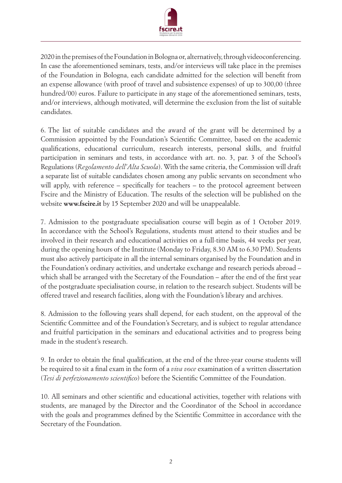

2020 in the premises of the Foundation in Bologna or, alternatively, through videoconferencing. In case the aforementioned seminars, tests, and/or interviews will take place in the premises of the Foundation in Bologna, each candidate admitted for the selection will benefit from an expense allowance (with proof of travel and subsistence expenses) of up to 300,00 (three hundred/00) euros. Failure to participate in any stage of the aforementioned seminars, tests, and/or interviews, although motivated, will determine the exclusion from the list of suitable candidates.

6. The list of suitable candidates and the award of the grant will be determined by a Commission appointed by the Foundation's Scientific Committee, based on the academic qualifications, educational curriculum, research interests, personal skills, and fruitful participation in seminars and tests, in accordance with art. no. 3, par. 3 of the School's Regulations (*Regolamento dell'Alta Scuola*). With the same criteria, the Commission will draft a separate list of suitable candidates chosen among any public servants on secondment who will apply, with reference – specifically for teachers – to the protocol agreement between Fscire and the Ministry of Education. The results of the selection will be published on the website **www.fscire.it** by 15 September 2020 and will be unappealable.

7. Admission to the postgraduate specialisation course will begin as of 1 October 2019. In accordance with the School's Regulations, students must attend to their studies and be involved in their research and educational activities on a full-time basis, 44 weeks per year, during the opening hours of the Institute (Monday to Friday, 8.30 AM to 6.30 PM). Students must also actively participate in all the internal seminars organised by the Foundation and in the Foundation's ordinary activities, and undertake exchange and research periods abroad – which shall be arranged with the Secretary of the Foundation – after the end of the first year of the postgraduate specialisation course, in relation to the research subject. Students will be offered travel and research facilities, along with the Foundation's library and archives.

8. Admission to the following years shall depend, for each student, on the approval of the Scientific Committee and of the Foundation's Secretary, and is subject to regular attendance and fruitful participation in the seminars and educational activities and to progress being made in the student's research.

9. In order to obtain the final qualification, at the end of the three-year course students will be required to sit a final exam in the form of a *viva voce* examination of a written dissertation (*Tesi di perfezionamento scientifico*) before the Scientific Committee of the Foundation.

10. All seminars and other scientific and educational activities, together with relations with students, are managed by the Director and the Coordinator of the School in accordance with the goals and programmes defined by the Scientific Committee in accordance with the Secretary of the Foundation.